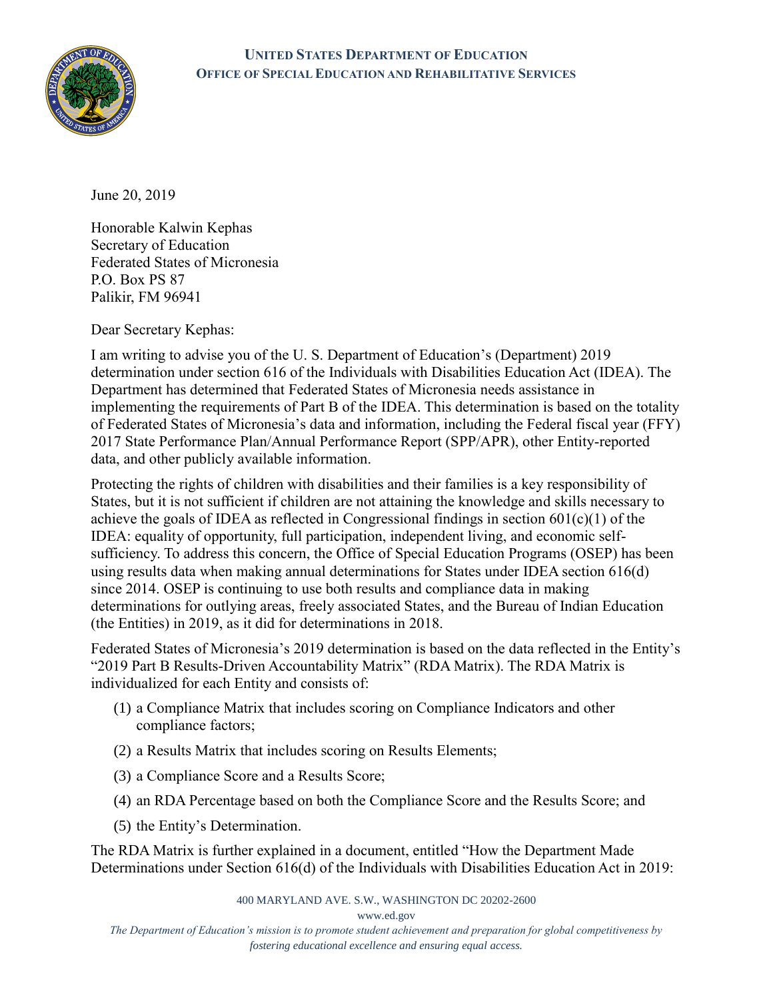

## **UNITED STATES DEPARTMENT OF EDUCATION OFFICE OF SPECIAL EDUCATION AND REHABILITATIVE SERVICES**

June 20, 2019

Honorable Kalwin Kephas Secretary of Education Federated States of Micronesia P.O. Box PS 87 Palikir, FM 96941

Dear Secretary Kephas:

I am writing to advise you of the U. S. Department of Education's (Department) 2019 determination under section 616 of the Individuals with Disabilities Education Act (IDEA). The Department has determined that Federated States of Micronesia needs assistance in implementing the requirements of Part B of the IDEA. This determination is based on the totality of Federated States of Micronesia's data and information, including the Federal fiscal year (FFY) 2017 State Performance Plan/Annual Performance Report (SPP/APR), other Entity-reported data, and other publicly available information.

Protecting the rights of children with disabilities and their families is a key responsibility of States, but it is not sufficient if children are not attaining the knowledge and skills necessary to achieve the goals of IDEA as reflected in Congressional findings in section 601(c)(1) of the IDEA: equality of opportunity, full participation, independent living, and economic selfsufficiency. To address this concern, the Office of Special Education Programs (OSEP) has been using results data when making annual determinations for States under IDEA section 616(d) since 2014. OSEP is continuing to use both results and compliance data in making determinations for outlying areas, freely associated States, and the Bureau of Indian Education (the Entities) in 2019, as it did for determinations in 2018.

Federated States of Micronesia's 2019 determination is based on the data reflected in the Entity's "2019 Part B Results-Driven Accountability Matrix" (RDA Matrix). The RDA Matrix is individualized for each Entity and consists of:

- (1) a Compliance Matrix that includes scoring on Compliance Indicators and other compliance factors;
- (2) a Results Matrix that includes scoring on Results Elements;
- (3) a Compliance Score and a Results Score;
- (4) an RDA Percentage based on both the Compliance Score and the Results Score; and
- (5) the Entity's Determination.

The RDA Matrix is further explained in a document, entitled "How the Department Made Determinations under Section 616(d) of the Individuals with Disabilities Education Act in 2019:

400 MARYLAND AVE. S.W., WASHINGTON DC 20202-2600

[www.ed.gov](http://www.ed.gov/)

*The Department of Education's mission is to promote student achievement and preparation for global competitiveness by fostering educational excellence and ensuring equal access.*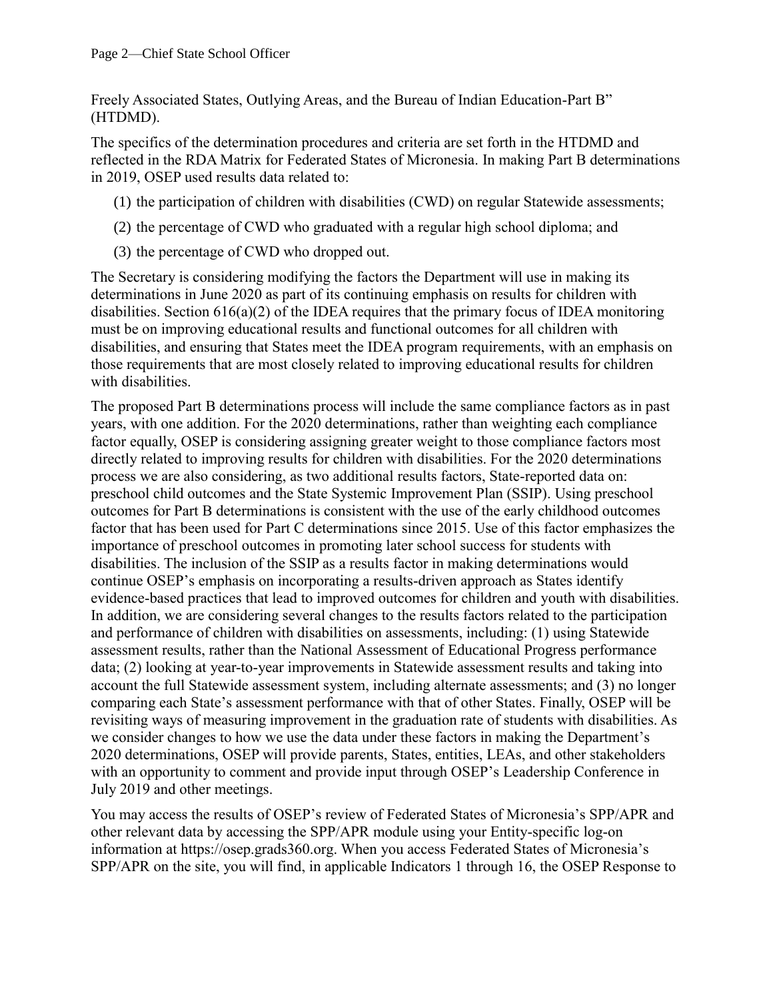Freely Associated States, Outlying Areas, and the Bureau of Indian Education-Part B" (HTDMD).

The specifics of the determination procedures and criteria are set forth in the HTDMD and reflected in the RDA Matrix for Federated States of Micronesia. In making Part B determinations in 2019, OSEP used results data related to:

- (1) the participation of children with disabilities (CWD) on regular Statewide assessments;
- (2) the percentage of CWD who graduated with a regular high school diploma; and
- (3) the percentage of CWD who dropped out.

The Secretary is considering modifying the factors the Department will use in making its determinations in June 2020 as part of its continuing emphasis on results for children with disabilities. Section 616(a)(2) of the IDEA requires that the primary focus of IDEA monitoring must be on improving educational results and functional outcomes for all children with disabilities, and ensuring that States meet the IDEA program requirements, with an emphasis on those requirements that are most closely related to improving educational results for children with disabilities.

The proposed Part B determinations process will include the same compliance factors as in past years, with one addition. For the 2020 determinations, rather than weighting each compliance factor equally, OSEP is considering assigning greater weight to those compliance factors most directly related to improving results for children with disabilities. For the 2020 determinations process we are also considering, as two additional results factors, State-reported data on: preschool child outcomes and the State Systemic Improvement Plan (SSIP). Using preschool outcomes for Part B determinations is consistent with the use of the early childhood outcomes factor that has been used for Part C determinations since 2015. Use of this factor emphasizes the importance of preschool outcomes in promoting later school success for students with disabilities. The inclusion of the SSIP as a results factor in making determinations would continue OSEP's emphasis on incorporating a results-driven approach as States identify evidence-based practices that lead to improved outcomes for children and youth with disabilities. In addition, we are considering several changes to the results factors related to the participation and performance of children with disabilities on assessments, including: (1) using Statewide assessment results, rather than the National Assessment of Educational Progress performance data; (2) looking at year-to-year improvements in Statewide assessment results and taking into account the full Statewide assessment system, including alternate assessments; and (3) no longer comparing each State's assessment performance with that of other States. Finally, OSEP will be revisiting ways of measuring improvement in the graduation rate of students with disabilities. As we consider changes to how we use the data under these factors in making the Department's 2020 determinations, OSEP will provide parents, States, entities, LEAs, and other stakeholders with an opportunity to comment and provide input through OSEP's Leadership Conference in July 2019 and other meetings.

You may access the results of OSEP's review of Federated States of Micronesia's SPP/APR and other relevant data by accessing the SPP/APR module using your Entity-specific log-on information at [https://osep.grads360.org.](https://osep.grads360.org/) When you access Federated States of Micronesia's SPP/APR on the site, you will find, in applicable Indicators 1 through 16, the OSEP Response to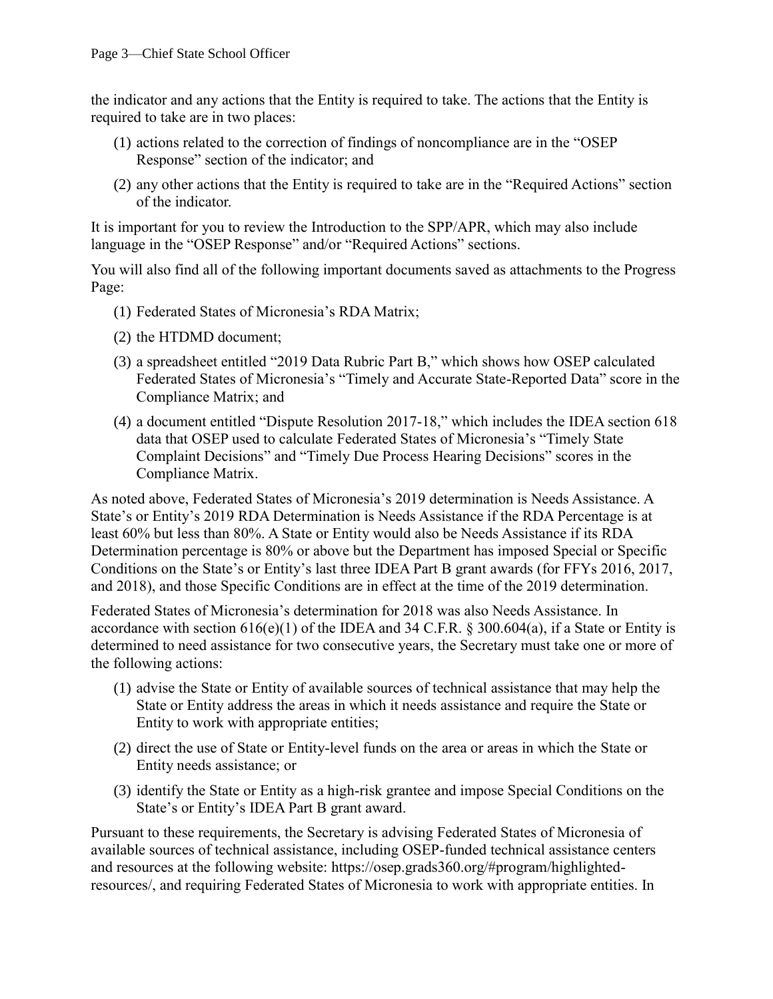the indicator and any actions that the Entity is required to take. The actions that the Entity is required to take are in two places:

- (1) actions related to the correction of findings of noncompliance are in the "OSEP Response" section of the indicator; and
- (2) any other actions that the Entity is required to take are in the "Required Actions" section of the indicator.

It is important for you to review the Introduction to the SPP/APR, which may also include language in the "OSEP Response" and/or "Required Actions" sections.

You will also find all of the following important documents saved as attachments to the Progress Page:

- (1) Federated States of Micronesia's RDA Matrix;
- (2) the HTDMD document;
- (3) a spreadsheet entitled "2019 Data Rubric Part B," which shows how OSEP calculated Federated States of Micronesia's "Timely and Accurate State-Reported Data" score in the Compliance Matrix; and
- (4) a document entitled "Dispute Resolution 2017-18," which includes the IDEA section 618 data that OSEP used to calculate Federated States of Micronesia's "Timely State Complaint Decisions" and "Timely Due Process Hearing Decisions" scores in the Compliance Matrix.

As noted above, Federated States of Micronesia's 2019 determination is Needs Assistance. A State's or Entity's 2019 RDA Determination is Needs Assistance if the RDA Percentage is at least 60% but less than 80%. A State or Entity would also be Needs Assistance if its RDA Determination percentage is 80% or above but the Department has imposed Special or Specific Conditions on the State's or Entity's last three IDEA Part B grant awards (for FFYs 2016, 2017, and 2018), and those Specific Conditions are in effect at the time of the 2019 determination.

Federated States of Micronesia's determination for 2018 was also Needs Assistance. In accordance with section  $616(e)(1)$  of the IDEA and 34 C.F.R. § 300.604(a), if a State or Entity is determined to need assistance for two consecutive years, the Secretary must take one or more of the following actions:

- (1) advise the State or Entity of available sources of technical assistance that may help the State or Entity address the areas in which it needs assistance and require the State or Entity to work with appropriate entities;
- (2) direct the use of State or Entity-level funds on the area or areas in which the State or Entity needs assistance; or
- (3) identify the State or Entity as a high-risk grantee and impose Special Conditions on the State's or Entity's IDEA Part B grant award.

Pursuant to these requirements, the Secretary is advising Federated States of Micronesia of available sources of technical assistance, including OSEP-funded technical assistance centers and resources at the following website: [https://osep.grads360.org/#program/highlighted](https://osep.grads360.org/#program/highlighted-resources/)[resources/,](https://osep.grads360.org/#program/highlighted-resources/) and requiring Federated States of Micronesia to work with appropriate entities. In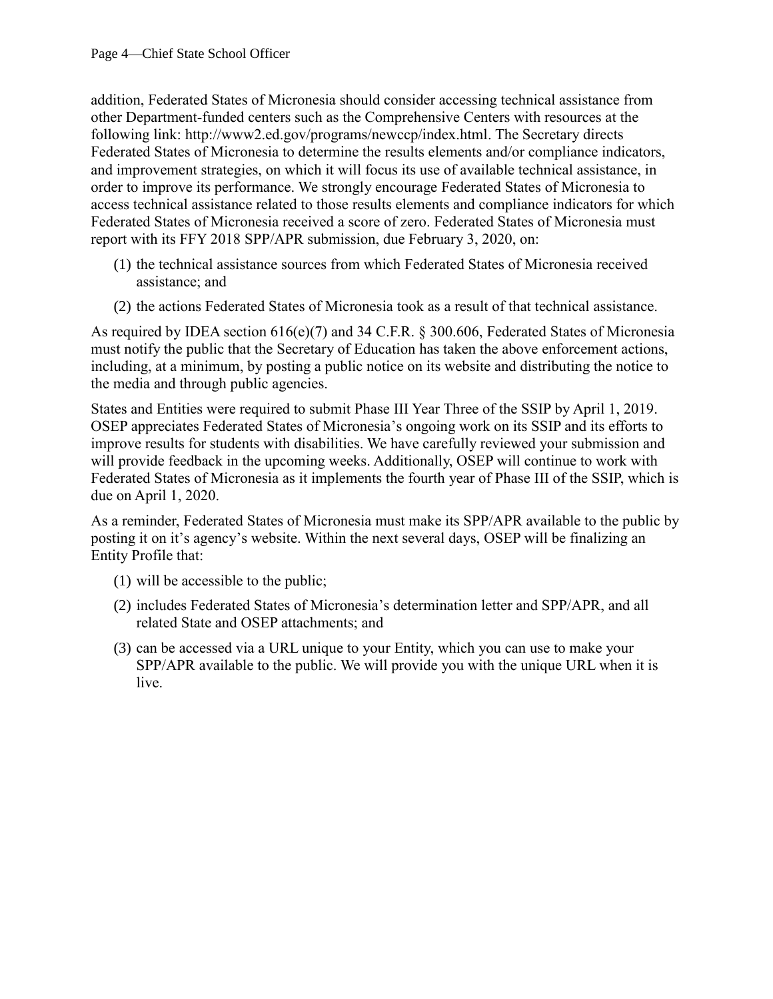addition, Federated States of Micronesia should consider accessing technical assistance from other Department-funded centers such as the Comprehensive Centers with resources at the following link: [http://www2.ed.gov/programs/newccp/index.html.](http://www2.ed.gov/programs/newccp/index.html) The Secretary directs Federated States of Micronesia to determine the results elements and/or compliance indicators, and improvement strategies, on which it will focus its use of available technical assistance, in order to improve its performance. We strongly encourage Federated States of Micronesia to access technical assistance related to those results elements and compliance indicators for which Federated States of Micronesia received a score of zero. Federated States of Micronesia must report with its FFY 2018 SPP/APR submission, due February 3, 2020, on:

- (1) the technical assistance sources from which Federated States of Micronesia received assistance; and
- (2) the actions Federated States of Micronesia took as a result of that technical assistance.

As required by IDEA section 616(e)(7) and 34 C.F.R. § 300.606, Federated States of Micronesia must notify the public that the Secretary of Education has taken the above enforcement actions, including, at a minimum, by posting a public notice on its website and distributing the notice to the media and through public agencies.

States and Entities were required to submit Phase III Year Three of the SSIP by April 1, 2019. OSEP appreciates Federated States of Micronesia's ongoing work on its SSIP and its efforts to improve results for students with disabilities. We have carefully reviewed your submission and will provide feedback in the upcoming weeks. Additionally, OSEP will continue to work with Federated States of Micronesia as it implements the fourth year of Phase III of the SSIP, which is due on April 1, 2020.

As a reminder, Federated States of Micronesia must make its SPP/APR available to the public by posting it on it's agency's website. Within the next several days, OSEP will be finalizing an Entity Profile that:

- (1) will be accessible to the public;
- (2) includes Federated States of Micronesia's determination letter and SPP/APR, and all related State and OSEP attachments; and
- (3) can be accessed via a URL unique to your Entity, which you can use to make your SPP/APR available to the public. We will provide you with the unique URL when it is live.